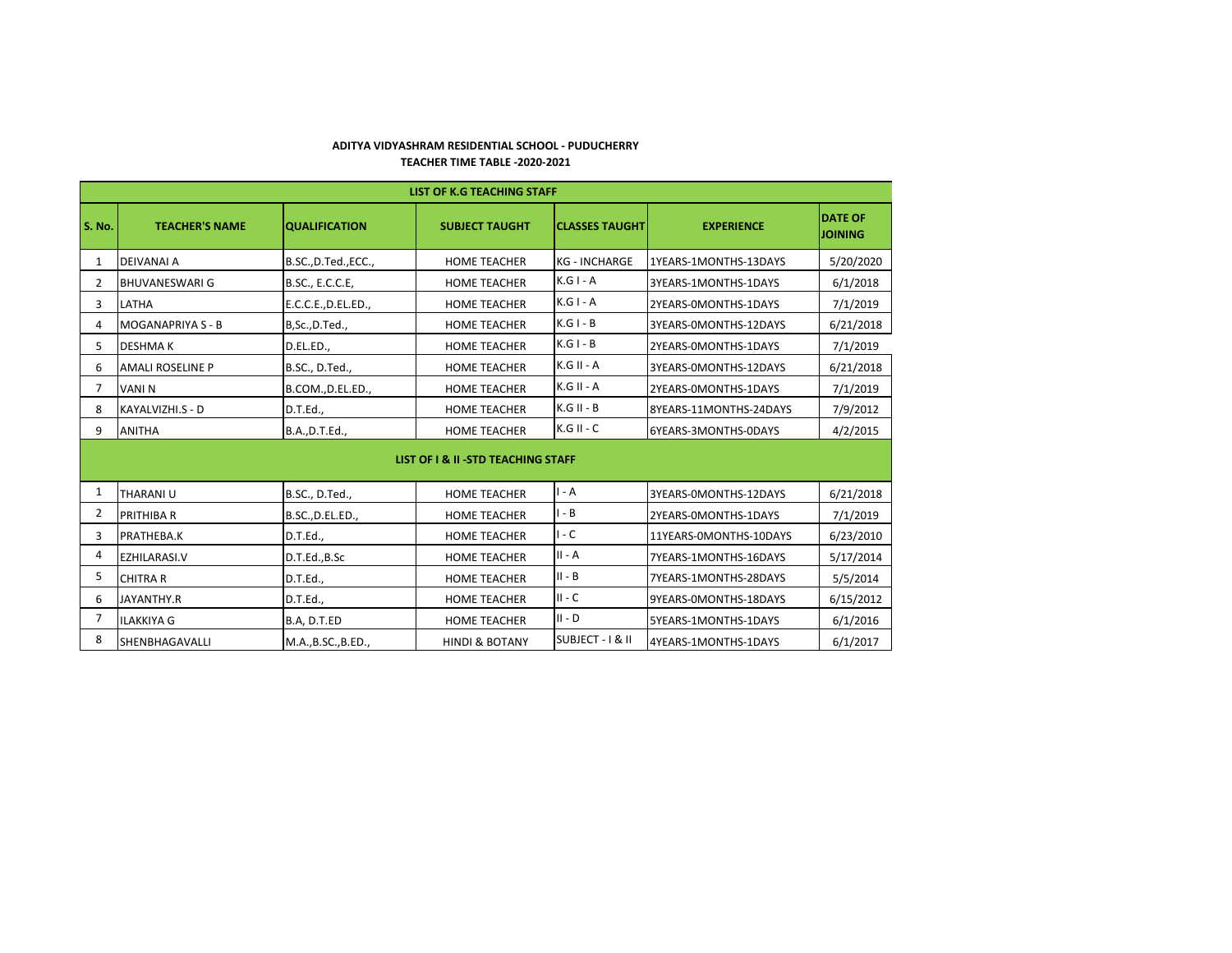## **ADITYA VIDYASHRAM RESIDENTIAL SCHOOL - PUDUCHERRY TEACHER TIME TABLE -2020-2021**

|                | <b>LIST OF K.G TEACHING STAFF</b> |                      |                                     |                       |                        |                                  |  |
|----------------|-----------------------------------|----------------------|-------------------------------------|-----------------------|------------------------|----------------------------------|--|
| <b>S. No.</b>  | <b>TEACHER'S NAME</b>             | <b>QUALIFICATION</b> | <b>SUBJECT TAUGHT</b>               | <b>CLASSES TAUGHT</b> | <b>EXPERIENCE</b>      | <b>DATE OF</b><br><b>JOINING</b> |  |
| $\mathbf{1}$   | <b>DEIVANAI A</b>                 | B.SC., D.Ted., ECC., | <b>HOME TEACHER</b>                 | <b>KG - INCHARGE</b>  | 1YEARS-1MONTHS-13DAYS  | 5/20/2020                        |  |
| $\mathbf{2}$   | BHUVANESWARI G                    | B.SC., E.C.C.E,      | <b>HOME TEACHER</b>                 | $K.G I - A$           | 3YEARS-1MONTHS-1DAYS   | 6/1/2018                         |  |
| $\mathbf{3}$   | <b>LATHA</b>                      | E.C.C.E., D.EL.ED.,  | <b>HOME TEACHER</b>                 | $K.G I - A$           | 2YEARS-0MONTHS-1DAYS   | 7/1/2019                         |  |
| 4              | <b>MOGANAPRIYA S - B</b>          | B,Sc.,D.Ted.,        | <b>HOME TEACHER</b>                 | $K.G I - B$           | 3YEARS-0MONTHS-12DAYS  | 6/21/2018                        |  |
| 5              | <b>DESHMAK</b>                    | D.EL.ED.,            | <b>HOME TEACHER</b>                 | $K.G I - B$           | 2YEARS-0MONTHS-1DAYS   | 7/1/2019                         |  |
| 6              | <b>AMALI ROSELINE P</b>           | B.SC., D.Ted.,       | <b>HOME TEACHER</b>                 | K.G II - A            | 3YEARS-0MONTHS-12DAYS  | 6/21/2018                        |  |
| 7              | <b>VANIN</b>                      | B.COM., D.EL.ED.,    | <b>HOME TEACHER</b>                 | $K.G II - A$          | 2YEARS-0MONTHS-1DAYS   | 7/1/2019                         |  |
| 8              | KAYALVIZHI.S - D                  | D.T.Ed.,             | <b>HOME TEACHER</b>                 | $K.G II - B$          | 8YEARS-11MONTHS-24DAYS | 7/9/2012                         |  |
| 9              | <b>ANITHA</b>                     | B.A., D.T.Ed.,       | <b>HOME TEACHER</b>                 | $K.G II - C$          | 6YEARS-3MONTHS-0DAYS   | 4/2/2015                         |  |
|                |                                   |                      | LIST OF I & II - STD TEACHING STAFF |                       |                        |                                  |  |
| 1              | <b>THARANIU</b>                   | B.SC., D.Ted.,       | <b>HOME TEACHER</b>                 | $I - A$               | 3YEARS-0MONTHS-12DAYS  | 6/21/2018                        |  |
| $\overline{2}$ | <b>PRITHIBAR</b>                  | B.SC., D.EL.ED.,     | <b>HOME TEACHER</b>                 | $I - B$               | 2YEARS-0MONTHS-1DAYS   | 7/1/2019                         |  |
| 3              | <b>PRATHEBA.K</b>                 | D.T.Ed.,             | <b>HOME TEACHER</b>                 | $I - C$               | 11YEARS-0MONTHS-10DAYS | 6/23/2010                        |  |
| 4              | <b>EZHILARASI.V</b>               | D.T.Ed., B.Sc        | <b>HOME TEACHER</b>                 | $II - A$              | 7YEARS-1MONTHS-16DAYS  | 5/17/2014                        |  |
| 5              | <b>CHITRA R</b>                   | D.T.Ed.,             | <b>HOME TEACHER</b>                 | $II - B$              | 7YEARS-1MONTHS-28DAYS  | 5/5/2014                         |  |
| 6              | JAYANTHY.R                        | D.T.Ed.,             | <b>HOME TEACHER</b>                 | $II - C$              | 9YEARS-0MONTHS-18DAYS  | 6/15/2012                        |  |
| $\overline{7}$ | <b>ILAKKIYA G</b>                 | B.A, D.T.ED          | <b>HOME TEACHER</b>                 | $II - D$              | 5YEARS-1MONTHS-1DAYS   | 6/1/2016                         |  |
| 8              | SHENBHAGAVALLI                    | M.A., B.SC., B.ED.,  | <b>HINDI &amp; BOTANY</b>           | SUBJECT - I & II      | 4YEARS-1MONTHS-1DAYS   | 6/1/2017                         |  |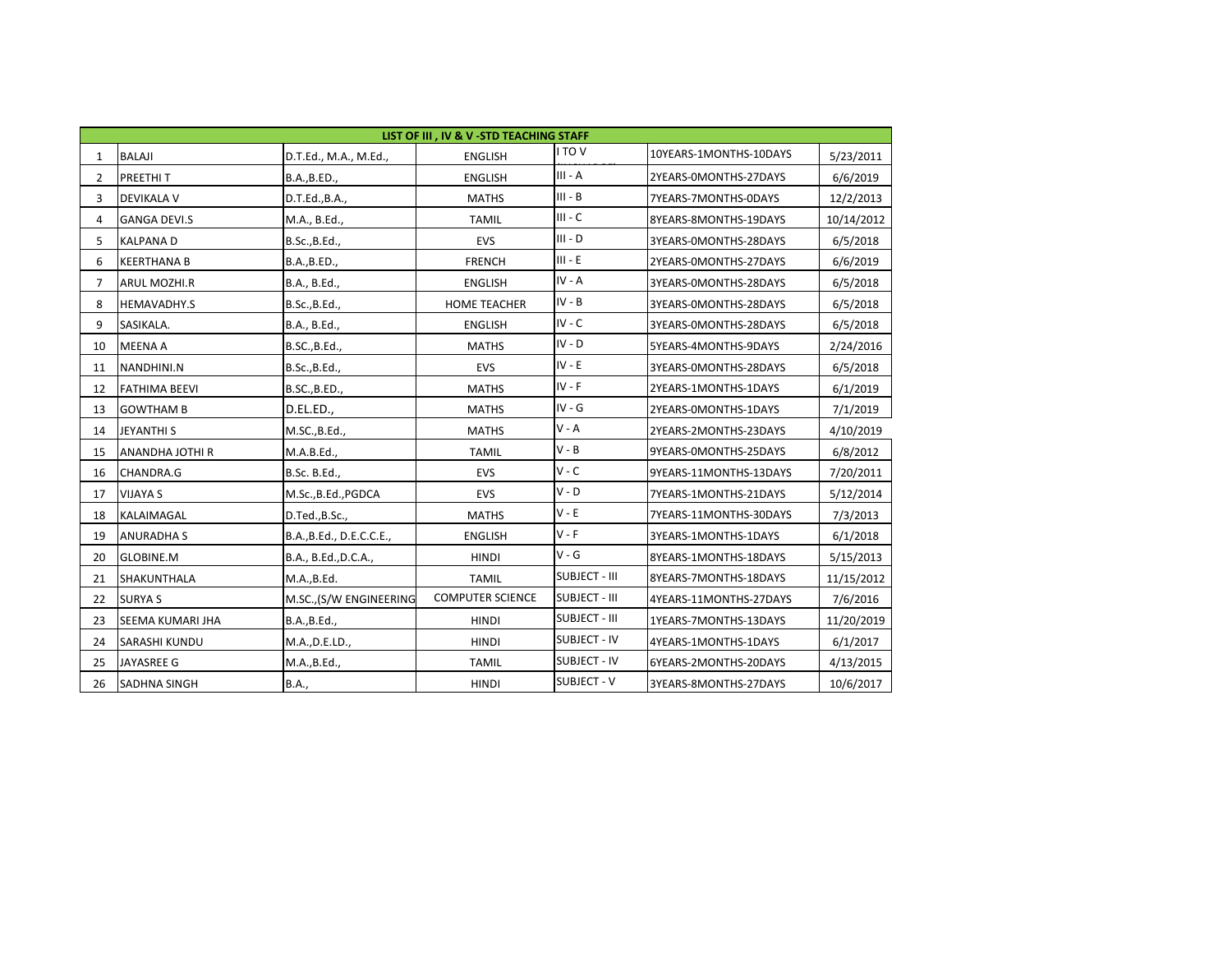|                | LIST OF III , IV & V -STD TEACHING STAFF |                          |                         |                      |                        |            |  |  |  |
|----------------|------------------------------------------|--------------------------|-------------------------|----------------------|------------------------|------------|--|--|--|
| $\mathbf{1}$   | <b>BALAJI</b>                            | D.T.Ed., M.A., M.Ed.,    | <b>ENGLISH</b>          | I TO V               | 10YEARS-1MONTHS-10DAYS | 5/23/2011  |  |  |  |
| $\overline{2}$ | PREETHIT                                 | B.A., B.ED.,             | <b>ENGLISH</b>          | $III - A$            | 2YEARS-0MONTHS-27DAYS  | 6/6/2019   |  |  |  |
| 3              | <b>DEVIKALA V</b>                        | D.T.Ed., B.A.,           | <b>MATHS</b>            | $III - B$            | 7YEARS-7MONTHS-0DAYS   | 12/2/2013  |  |  |  |
| 4              | <b>GANGA DEVI.S</b>                      | M.A., B.Ed.,             | <b>TAMIL</b>            | $III - C$            | 8YEARS-8MONTHS-19DAYS  | 10/14/2012 |  |  |  |
| 5              | <b>KALPANAD</b>                          | B.Sc., B.Ed.,            | <b>EVS</b>              | $III - D$            | 3YEARS-0MONTHS-28DAYS  | 6/5/2018   |  |  |  |
| 6              | <b>KEERTHANA B</b>                       | B.A., B.ED.,             | <b>FRENCH</b>           | $III - E$            | 2YEARS-0MONTHS-27DAYS  | 6/6/2019   |  |  |  |
| $\overline{7}$ | <b>ARUL MOZHI.R</b>                      | B.A., B.Ed.,             | <b>ENGLISH</b>          | $IV - A$             | 3YEARS-0MONTHS-28DAYS  | 6/5/2018   |  |  |  |
| 8              | HEMAVADHY.S                              | B.Sc., B.Ed.,            | <b>HOME TEACHER</b>     | $IV - B$             | 3YEARS-0MONTHS-28DAYS  | 6/5/2018   |  |  |  |
| 9              | SASIKALA.                                | B.A., B.Ed.,             | <b>ENGLISH</b>          | $IV - C$             | 3YEARS-0MONTHS-28DAYS  | 6/5/2018   |  |  |  |
| 10             | <b>MEENA A</b>                           | B.SC., B.Ed.,            | <b>MATHS</b>            | $IV - D$             | 5YEARS-4MONTHS-9DAYS   | 2/24/2016  |  |  |  |
| 11             | NANDHINI.N                               | B.Sc., B.Ed.,            | EVS                     | $IV - E$             | 3YEARS-0MONTHS-28DAYS  | 6/5/2018   |  |  |  |
| 12             | <b>FATHIMA BEEVI</b>                     | B.SC., B.ED.,            | <b>MATHS</b>            | $IV - F$             | 2YEARS-1MONTHS-1DAYS   | 6/1/2019   |  |  |  |
| 13             | <b>GOWTHAM B</b>                         | D.EL.ED.,                | <b>MATHS</b>            | $IV - G$             | 2YEARS-0MONTHS-1DAYS   | 7/1/2019   |  |  |  |
| 14             | <b>JEYANTHI S</b>                        | M.SC., B.Ed.,            | <b>MATHS</b>            | $V - A$              | 2YEARS-2MONTHS-23DAYS  | 4/10/2019  |  |  |  |
| 15             | <b>ANANDHA JOTHI R</b>                   | M.A.B.Ed.,               | <b>TAMIL</b>            | $V - B$              | 9YEARS-0MONTHS-25DAYS  | 6/8/2012   |  |  |  |
| 16             | CHANDRA.G                                | B.Sc. B.Ed.,             | EVS                     | $V - C$              | 9YEARS-11MONTHS-13DAYS | 7/20/2011  |  |  |  |
| 17             | <b>VIJAYA S</b>                          | M.Sc., B.Ed., PGDCA      | EVS                     | $V - D$              | 7YEARS-1MONTHS-21DAYS  | 5/12/2014  |  |  |  |
| 18             | KALAIMAGAL                               | D.Ted., B.Sc.,           | <b>MATHS</b>            | $V - E$              | 7YEARS-11MONTHS-30DAYS | 7/3/2013   |  |  |  |
| 19             | <b>ANURADHA S</b>                        | B.A., B.Ed., D.E.C.C.E., | <b>ENGLISH</b>          | $V - F$              | 3YEARS-1MONTHS-1DAYS   | 6/1/2018   |  |  |  |
| 20             | <b>GLOBINE.M</b>                         | B.A., B.Ed., D.C.A.,     | <b>HINDI</b>            | $V - G$              | 8YEARS-1MONTHS-18DAYS  | 5/15/2013  |  |  |  |
| 21             | SHAKUNTHALA                              | M.A., B.Ed.              | <b>TAMIL</b>            | <b>SUBJECT - III</b> | 8YEARS-7MONTHS-18DAYS  | 11/15/2012 |  |  |  |
| 22             | <b>SURYA S</b>                           | M.SC., (S/W ENGINEERING  | <b>COMPUTER SCIENCE</b> | <b>SUBJECT - III</b> | 4YEARS-11MONTHS-27DAYS | 7/6/2016   |  |  |  |
| 23             | SEEMA KUMARI JHA                         | B.A., B.Ed.,             | <b>HINDI</b>            | <b>SUBJECT - III</b> | 1YEARS-7MONTHS-13DAYS  | 11/20/2019 |  |  |  |
| 24             | SARASHI KUNDU                            | M.A., D.E.LD.,           | <b>HINDI</b>            | <b>SUBJECT - IV</b>  | 4YEARS-1MONTHS-1DAYS   | 6/1/2017   |  |  |  |
| 25             | JAYASREE G                               | M.A., B.Ed.,             | <b>TAMIL</b>            | <b>SUBJECT - IV</b>  | 6YEARS-2MONTHS-20DAYS  | 4/13/2015  |  |  |  |
| 26             | <b>SADHNA SINGH</b>                      | B.A.,                    | <b>HINDI</b>            | SUBJECT - V          | 3YEARS-8MONTHS-27DAYS  | 10/6/2017  |  |  |  |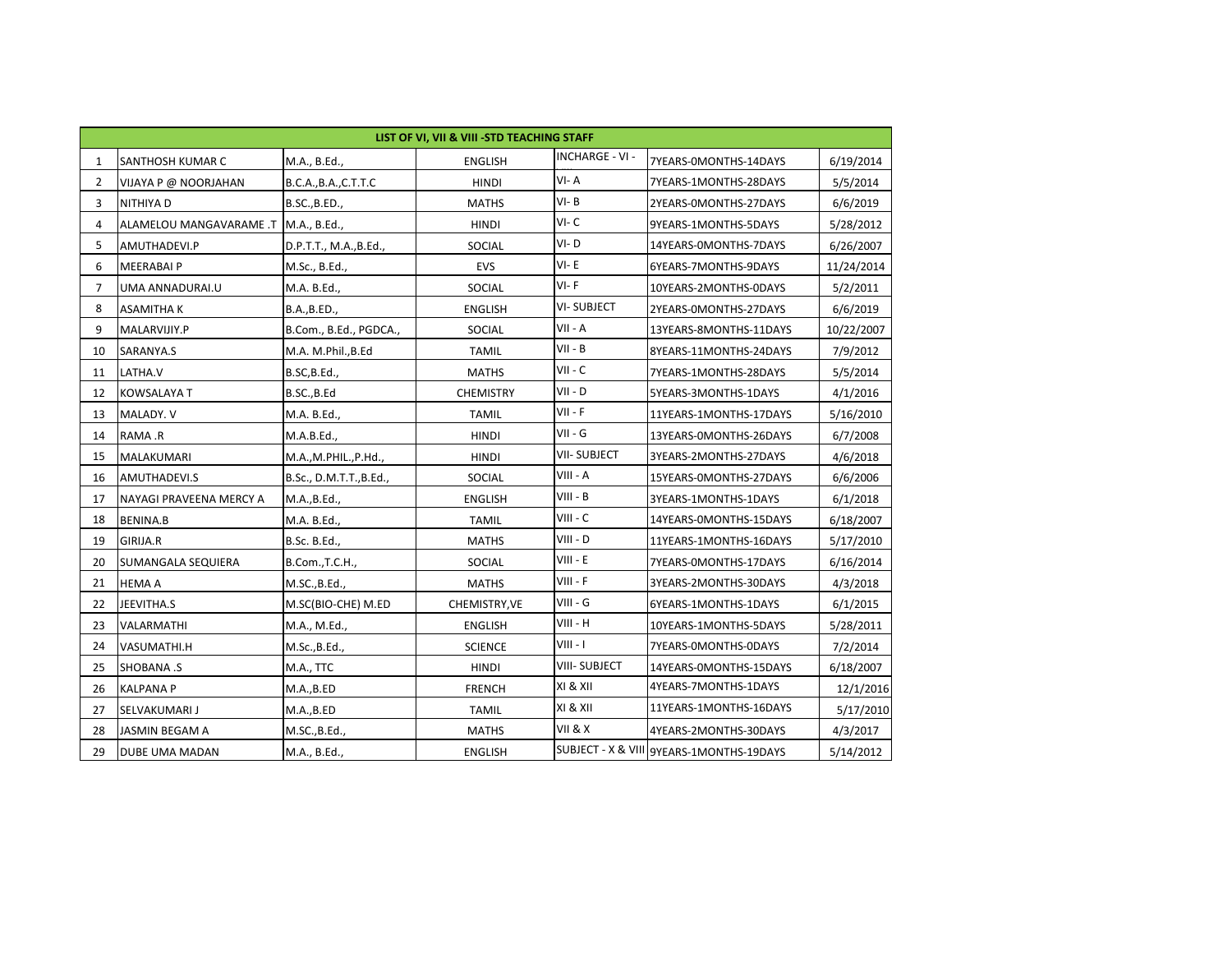|              | LIST OF VI, VII & VIII - STD TEACHING STAFF |                         |                  |                        |                                          |            |  |  |  |
|--------------|---------------------------------------------|-------------------------|------------------|------------------------|------------------------------------------|------------|--|--|--|
| 1            | SANTHOSH KUMAR C                            | M.A., B.Ed.,            | <b>ENGLISH</b>   | <b>INCHARGE - VI -</b> | 7YEARS-0MONTHS-14DAYS                    | 6/19/2014  |  |  |  |
| $\mathbf{2}$ | VIJAYA P @ NOORJAHAN                        | B.C.A., B.A., C.T.T.C   | <b>HINDI</b>     | VI-A                   | 7YEARS-1MONTHS-28DAYS                    | 5/5/2014   |  |  |  |
| 3            | <b>NITHIYAD</b>                             | B.SC., B.ED.,           | <b>MATHS</b>     | $VI - B$               | 2YEARS-0MONTHS-27DAYS                    | 6/6/2019   |  |  |  |
| 4            | ALAMELOU MANGAVARAME.T                      | M.A., B.Ed.,            | <b>HINDI</b>     | $VI - C$               | 9YEARS-1MONTHS-5DAYS                     | 5/28/2012  |  |  |  |
| 5.           | AMUTHADEVI.P                                | D.P.T.T., M.A., B.Ed.,  | SOCIAL           | $VI - D$               | 14YEARS-0MONTHS-7DAYS                    | 6/26/2007  |  |  |  |
| 6            | <b>MEERABAI P</b>                           | M.Sc., B.Ed.,           | <b>EVS</b>       | $VI - E$               | 6YEARS-7MONTHS-9DAYS                     | 11/24/2014 |  |  |  |
| 7            | UMA ANNADURAI.U                             | M.A. B.Ed.,             | SOCIAL           | $VI-F$                 | 10YEARS-2MONTHS-0DAYS                    | 5/2/2011   |  |  |  |
| 8            | <b>ASAMITHAK</b>                            | B.A., B.ED.,            | <b>ENGLISH</b>   | <b>VI-SUBJECT</b>      | 2YEARS-0MONTHS-27DAYS                    | 6/6/2019   |  |  |  |
| 9            | MALARVIJIY.P                                | B.Com., B.Ed., PGDCA.,  | SOCIAL           | VII - A                | 13YEARS-8MONTHS-11DAYS                   | 10/22/2007 |  |  |  |
| 10           | SARANYA.S                                   | M.A. M.Phil., B.Ed      | <b>TAMIL</b>     | $VII - B$              | 8YEARS-11MONTHS-24DAYS                   | 7/9/2012   |  |  |  |
| 11           | LATHA.V                                     | B.SC, B.Ed.,            | <b>MATHS</b>     | $VII - C$              | 7YEARS-1MONTHS-28DAYS                    | 5/5/2014   |  |  |  |
| 12           | <b>KOWSALAYA T</b>                          | B.SC., B.Ed             | <b>CHEMISTRY</b> | $VII - D$              | 5YEARS-3MONTHS-1DAYS                     | 4/1/2016   |  |  |  |
| 13           | MALADY. V                                   | M.A. B.Ed.,             | <b>TAMIL</b>     | $VII - F$              | 11YEARS-1MONTHS-17DAYS                   | 5/16/2010  |  |  |  |
| 14           | RAMA .R                                     | M.A.B.Ed.,              | <b>HINDI</b>     | $VII - G$              | 13YEARS-0MONTHS-26DAYS                   | 6/7/2008   |  |  |  |
| 15           | MALAKUMARI                                  | M.A., M.PHIL., P.Hd.,   | <b>HINDI</b>     | <b>VII-SUBJECT</b>     | 3YEARS-2MONTHS-27DAYS                    | 4/6/2018   |  |  |  |
| 16           | AMUTHADEVI.S                                | B.Sc., D.M.T.T., B.Ed., | SOCIAL           | VIII - A               | 15YEARS-0MONTHS-27DAYS                   | 6/6/2006   |  |  |  |
| 17           | NAYAGI PRAVEENA MERCY A                     | M.A., B.Ed.,            | <b>ENGLISH</b>   | $VIII - B$             | 3YEARS-1MONTHS-1DAYS                     | 6/1/2018   |  |  |  |
| 18           | <b>BENINA.B</b>                             | M.A. B.Ed.,             | <b>TAMIL</b>     | VIII - C               | 14YEARS-0MONTHS-15DAYS                   | 6/18/2007  |  |  |  |
| 19           | GIRIJA.R                                    | B.Sc. B.Ed.,            | <b>MATHS</b>     | VIII - D               | 11YEARS-1MONTHS-16DAYS                   | 5/17/2010  |  |  |  |
| 20           | SUMANGALA SEQUIERA                          | B.Com., T.C.H.,         | SOCIAL           | $VIII - E$             | 7YEARS-0MONTHS-17DAYS                    | 6/16/2014  |  |  |  |
| 21           | <b>HEMA A</b>                               | M.SC., B.Ed.,           | <b>MATHS</b>     | VIII - F               | 3YEARS-2MONTHS-30DAYS                    | 4/3/2018   |  |  |  |
| 22           | JEEVITHA.S                                  | M.SC(BIO-CHE) M.ED      | CHEMISTRY, VE    | $VIII - G$             | 6YEARS-1MONTHS-1DAYS                     | 6/1/2015   |  |  |  |
| 23           | VALARMATHI                                  | M.A., M.Ed.,            | <b>ENGLISH</b>   | VIII - H               | 10YEARS-1MONTHS-5DAYS                    | 5/28/2011  |  |  |  |
| 24           | VASUMATHI.H                                 | M.Sc., B.Ed.,           | <b>SCIENCE</b>   | $VIII - I$             | 7YEARS-0MONTHS-0DAYS                     | 7/2/2014   |  |  |  |
| 25           | <b>SHOBANA .S</b>                           | M.A., TTC               | <b>HINDI</b>     | <b>VIII- SUBJECT</b>   | 14YEARS-0MONTHS-15DAYS                   | 6/18/2007  |  |  |  |
| 26           | <b>KALPANA P</b>                            | M.A., B.ED              | <b>FRENCH</b>    | XI & XII               | 4YEARS-7MONTHS-1DAYS                     | 12/1/2016  |  |  |  |
| 27           | SELVAKUMARI J                               | M.A., B.ED              | <b>TAMIL</b>     | XI & XII               | 11YEARS-1MONTHS-16DAYS                   | 5/17/2010  |  |  |  |
| 28           | JASMIN BEGAM A                              | M.SC., B.Ed.,           | <b>MATHS</b>     | VII & X                | 4YEARS-2MONTHS-30DAYS                    | 4/3/2017   |  |  |  |
| 29           | <b>DUBE UMA MADAN</b>                       | M.A., B.Ed.,            | <b>ENGLISH</b>   |                        | SUBJECT - X & VIII 9YEARS-1MONTHS-19DAYS | 5/14/2012  |  |  |  |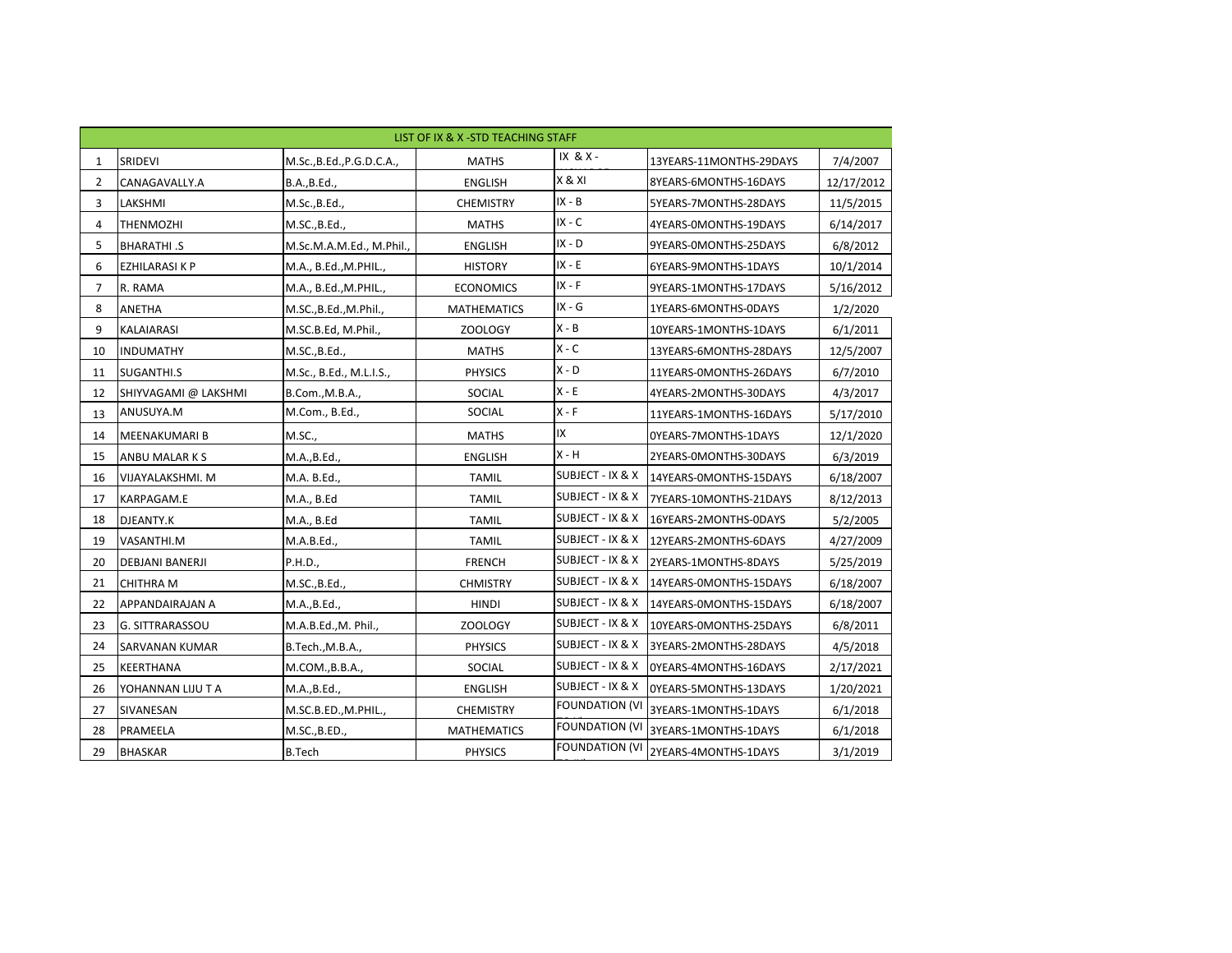|              | LIST OF IX & X - STD TEACHING STAFF |                           |                    |                             |                                           |            |  |  |  |
|--------------|-------------------------------------|---------------------------|--------------------|-----------------------------|-------------------------------------------|------------|--|--|--|
| 1            | SRIDEVI                             | M.Sc., B.Ed., P.G.D.C.A., | <b>MATHS</b>       | IX & X -                    | 13YEARS-11MONTHS-29DAYS                   | 7/4/2007   |  |  |  |
| $\mathbf{2}$ | CANAGAVALLY.A                       | B.A., B.Ed.,              | <b>ENGLISH</b>     | X & XI                      | 8YEARS-6MONTHS-16DAYS                     | 12/17/2012 |  |  |  |
| 3            | LAKSHMI                             | M.Sc., B.Ed.,             | <b>CHEMISTRY</b>   | $IX - B$                    | 5YEARS-7MONTHS-28DAYS                     | 11/5/2015  |  |  |  |
| 4            | <b>THENMOZHI</b>                    | M.SC., B.Ed.,             | <b>MATHS</b>       | $IX - C$                    | 4YEARS-0MONTHS-19DAYS                     | 6/14/2017  |  |  |  |
| 5.           | <b>BHARATHI.S</b>                   | M.Sc.M.A.M.Ed., M.Phil.,  | <b>ENGLISH</b>     | $IX - D$                    | 9YEARS-0MONTHS-25DAYS                     | 6/8/2012   |  |  |  |
| 6            | EZHILARASI K P                      | M.A., B.Ed., M.PHIL.,     | <b>HISTORY</b>     | $IX - E$                    | 6YEARS-9MONTHS-1DAYS                      | 10/1/2014  |  |  |  |
| 7            | R. RAMA                             | M.A., B.Ed., M.PHIL.,     | <b>ECONOMICS</b>   | $IX - F$                    | 9YEARS-1MONTHS-17DAYS                     | 5/16/2012  |  |  |  |
| 8            | <b>ANETHA</b>                       | M.SC., B.Ed., M.Phil.,    | <b>MATHEMATICS</b> | $IX - G$                    | 1YEARS-6MONTHS-0DAYS                      | 1/2/2020   |  |  |  |
| 9            | KALAIARASI                          | M.SC.B.Ed, M.Phil.,       | ZOOLOGY            | $X - B$                     | 10YEARS-1MONTHS-1DAYS                     | 6/1/2011   |  |  |  |
| 10           | <b>INDUMATHY</b>                    | M.SC., B.Ed.,             | <b>MATHS</b>       | $X - C$                     | 13YEARS-6MONTHS-28DAYS                    | 12/5/2007  |  |  |  |
| 11           | SUGANTHI.S                          | M.Sc., B.Ed., M.L.I.S.,   | <b>PHYSICS</b>     | $X - D$                     | 11YEARS-0MONTHS-26DAYS                    | 6/7/2010   |  |  |  |
| 12           | SHIYVAGAMI @ LAKSHMI                | B.Com., M.B.A.,           | SOCIAL             | $X - E$                     | 4YEARS-2MONTHS-30DAYS                     | 4/3/2017   |  |  |  |
| 13           | ANUSUYA.M                           | M.Com., B.Ed.,            | SOCIAL             | $X - F$                     | 11YEARS-1MONTHS-16DAYS                    | 5/17/2010  |  |  |  |
| 14           | MEENAKUMARI B                       | M.SC.,                    | <b>MATHS</b>       | IX.                         | OYEARS-7MONTHS-1DAYS                      | 12/1/2020  |  |  |  |
| 15           | ANBU MALARKS                        | M.A., B.Ed.,              | <b>ENGLISH</b>     | $X - H$                     | 2YEARS-0MONTHS-30DAYS                     | 6/3/2019   |  |  |  |
| 16           | VIJAYALAKSHMI. M                    | M.A. B.Ed.,               | <b>TAMIL</b>       | SUBJECT - IX & X            | 14YEARS-0MONTHS-15DAYS                    | 6/18/2007  |  |  |  |
| 17           | KARPAGAM.E                          | M.A., B.Ed                | <b>TAMIL</b>       | <b>SUBJECT - IX &amp; X</b> | 7YEARS-10MONTHS-21DAYS                    | 8/12/2013  |  |  |  |
| 18           | DJEANTY.K                           | M.A., B.Ed                | <b>TAMIL</b>       | <b>SUBJECT - IX &amp; X</b> | 16YEARS-2MONTHS-0DAYS                     | 5/2/2005   |  |  |  |
| 19           | VASANTHI.M                          | M.A.B.Ed.,                | <b>TAMIL</b>       | <b>SUBJECT - IX &amp; X</b> | 12YEARS-2MONTHS-6DAYS                     | 4/27/2009  |  |  |  |
| 20           | DEBJANI BANERJI                     | P.H.D.,                   | <b>FRENCH</b>      | SUBJECT - IX & X            | 2YEARS-1MONTHS-8DAYS                      | 5/25/2019  |  |  |  |
| 21           | <b>CHITHRA M</b>                    | M.SC., B.Ed.,             | <b>CHMISTRY</b>    | <b>SUBJECT - IX &amp; X</b> | 14YEARS-0MONTHS-15DAYS                    | 6/18/2007  |  |  |  |
| 22           | <b>APPANDAIRAJAN A</b>              | M.A., B.Ed.,              | <b>HINDI</b>       | <b>SUBJECT - IX &amp; X</b> | 14YEARS-0MONTHS-15DAYS                    | 6/18/2007  |  |  |  |
| 23           | G. SITTRARASSOU                     | M.A.B.Ed., M. Phil.,      | <b>ZOOLOGY</b>     |                             | SUBJECT - IX & X   10YEARS-0MONTHS-25DAYS | 6/8/2011   |  |  |  |
| 24           | <b>SARVANAN KUMAR</b>               | B.Tech., M.B.A.,          | <b>PHYSICS</b>     | <b>SUBJECT - IX &amp; X</b> | 3YEARS-2MONTHS-28DAYS                     | 4/5/2018   |  |  |  |
| 25           | <b>KEERTHANA</b>                    | M.COM., B.B.A.,           | SOCIAL             | SUBJECT - IX & X            | OYEARS-4MONTHS-16DAYS                     | 2/17/2021  |  |  |  |
| 26           | YOHANNAN LIJU T A                   | M.A., B.Ed.,              | <b>ENGLISH</b>     | SUBJECT - IX & X            | OYEARS-5MONTHS-13DAYS                     | 1/20/2021  |  |  |  |
| 27           | SIVANESAN                           | M.SC.B.ED., M.PHIL.,      | <b>CHEMISTRY</b>   | <b>FOUNDATION (VI</b>       | 3YEARS-1MONTHS-1DAYS                      | 6/1/2018   |  |  |  |
| 28           | PRAMEELA                            | M.SC., B.ED.,             | <b>MATHEMATICS</b> | <b>FOUNDATION (VI</b>       | 3YEARS-1MONTHS-1DAYS                      | 6/1/2018   |  |  |  |
| 29           | <b>BHASKAR</b>                      | <b>B.Tech</b>             | <b>PHYSICS</b>     | <b>FOUNDATION (VI</b>       | 2YEARS-4MONTHS-1DAYS                      | 3/1/2019   |  |  |  |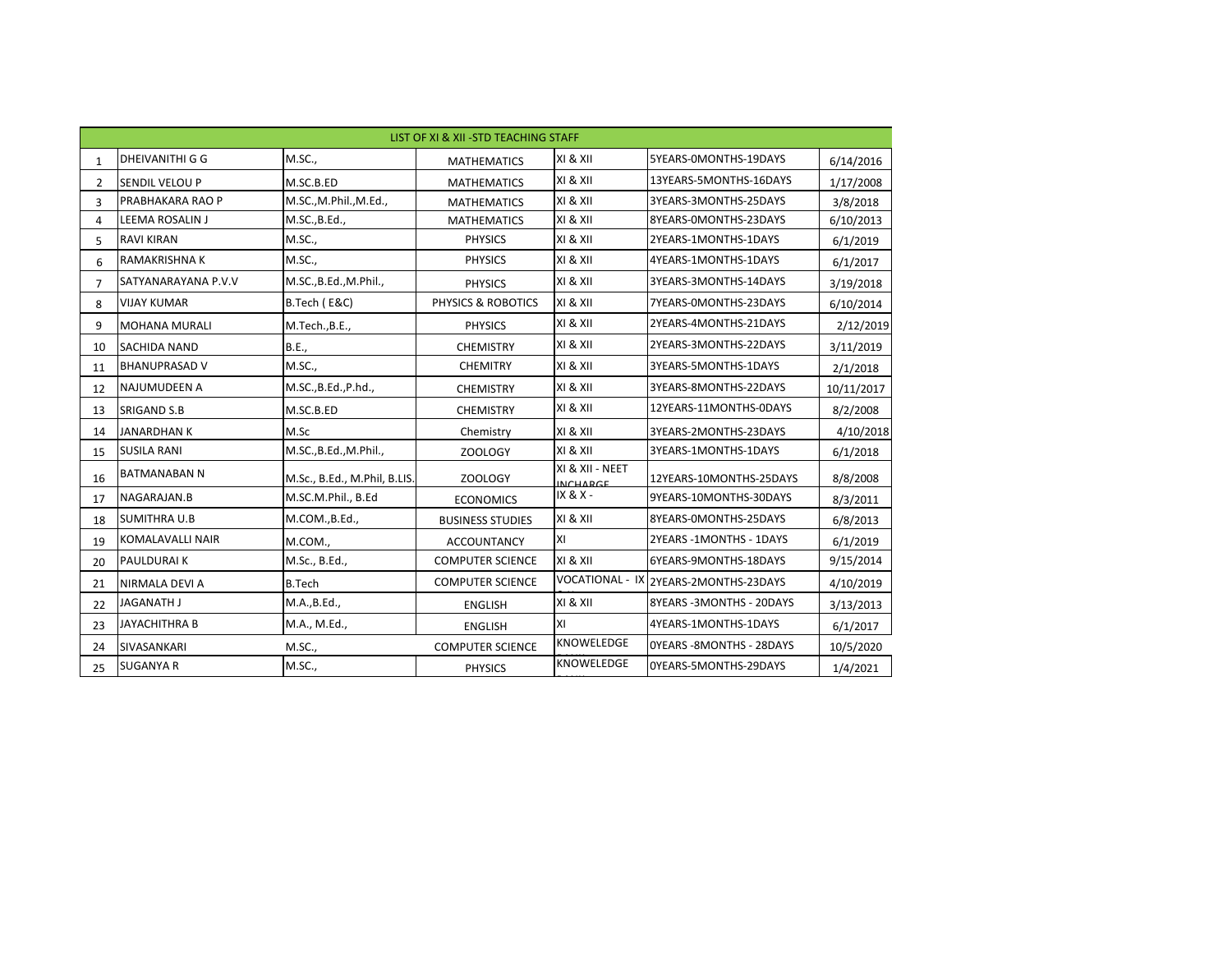|                | LIST OF XI & XII - STD TEACHING STAFF |                              |                               |                                    |                                       |            |  |  |
|----------------|---------------------------------------|------------------------------|-------------------------------|------------------------------------|---------------------------------------|------------|--|--|
| $\mathbf{1}$   | <b>DHEIVANITHI G G</b>                | M.SC.,                       | <b>MATHEMATICS</b>            | XI & XII                           | 5YEARS-0MONTHS-19DAYS                 | 6/14/2016  |  |  |
| $2^{\circ}$    | SENDIL VELOU P                        | M.SC.B.ED                    | <b>MATHEMATICS</b>            | XI & XII                           | 13YEARS-5MONTHS-16DAYS                | 1/17/2008  |  |  |
| 3              | PRABHAKARA RAO P                      | M.SC., M.Phil., M.Ed.,       | <b>MATHEMATICS</b>            | XI & XII                           | 3YEARS-3MONTHS-25DAYS                 | 3/8/2018   |  |  |
| 4              | LEEMA ROSALIN J                       | M.SC., B.Ed.,                | <b>MATHEMATICS</b>            | XI & XII                           | 8YEARS-0MONTHS-23DAYS                 | 6/10/2013  |  |  |
| 5              | <b>RAVI KIRAN</b>                     | M.SC.,                       | <b>PHYSICS</b>                | XI & XII                           | 2YEARS-1MONTHS-1DAYS                  | 6/1/2019   |  |  |
| 6              | RAMAKRISHNA K                         | M.SC.,                       | <b>PHYSICS</b>                | XI & XII                           | 4YEARS-1MONTHS-1DAYS                  | 6/1/2017   |  |  |
| $\overline{7}$ | SATYANARAYANA P.V.V                   | M.SC., B.Ed., M.Phil.,       | <b>PHYSICS</b>                | XI & XII                           | 3YEARS-3MONTHS-14DAYS                 | 3/19/2018  |  |  |
| 8              | <b>VIJAY KUMAR</b>                    | B.Tech (E&C)                 | <b>PHYSICS &amp; ROBOTICS</b> | XI & XII                           | 7YEARS-0MONTHS-23DAYS                 | 6/10/2014  |  |  |
| 9              | <b>MOHANA MURALI</b>                  | M.Tech., B.E.,               | <b>PHYSICS</b>                | XI & XII                           | 2YEARS-4MONTHS-21DAYS                 | 2/12/2019  |  |  |
| 10             | <b>SACHIDA NAND</b>                   | <b>B.E.,</b>                 | <b>CHEMISTRY</b>              | XI & XII                           | 2YEARS-3MONTHS-22DAYS                 | 3/11/2019  |  |  |
| 11             | <b>BHANUPRASAD V</b>                  | M.SC.,                       | <b>CHEMITRY</b>               | XI & XII                           | 3YEARS-5MONTHS-1DAYS                  | 2/1/2018   |  |  |
| 12             | <b>NAJUMUDEEN A</b>                   | M.SC., B.Ed., P.hd.,         | <b>CHEMISTRY</b>              | XI & XII                           | 3YEARS-8MONTHS-22DAYS                 | 10/11/2017 |  |  |
| 13             | <b>SRIGAND S.B</b>                    | M.SC.B.ED                    | <b>CHEMISTRY</b>              | XI & XII                           | 12YEARS-11MONTHS-0DAYS                | 8/2/2008   |  |  |
| 14             | <b>JANARDHAN K</b>                    | M.Sc                         | Chemistry                     | XI & XII                           | 3YEARS-2MONTHS-23DAYS                 | 4/10/2018  |  |  |
| 15             | <b>SUSILA RANI</b>                    | M.SC., B.Ed., M.Phil.,       | ZOOLOGY                       | XI & XII                           | 3YEARS-1MONTHS-1DAYS                  | 6/1/2018   |  |  |
| 16             | <b>BATMANABAN N</b>                   | M.Sc., B.Ed., M.Phil, B.LIS. | ZOOLOGY                       | XI & XII - NEET<br><b>INCHADGE</b> | 12YEARS-10MONTHS-25DAYS               | 8/8/2008   |  |  |
| 17             | NAGARAJAN.B                           | M.SC.M.Phil., B.Ed           | <b>ECONOMICS</b>              | IX & X -                           | 9YEARS-10MONTHS-30DAYS                | 8/3/2011   |  |  |
| 18             | <b>SUMITHRA U.B</b>                   | M.COM., B.Ed.,               | <b>BUSINESS STUDIES</b>       | XI & XII                           | 8YEARS-0MONTHS-25DAYS                 | 6/8/2013   |  |  |
| 19             | KOMALAVALLI NAIR                      | M.COM.,                      | <b>ACCOUNTANCY</b>            | lxı                                | 2YEARS - 1MONTHS - 1DAYS              | 6/1/2019   |  |  |
| 20             | PAULDURAI K                           | M.Sc., B.Ed.,                | <b>COMPUTER SCIENCE</b>       | XI & XII                           | 6YEARS-9MONTHS-18DAYS                 | 9/15/2014  |  |  |
| 21             | NIRMALA DEVI A                        | <b>B.Tech</b>                | <b>COMPUTER SCIENCE</b>       |                                    | VOCATIONAL - IX 2YEARS-2MONTHS-23DAYS | 4/10/2019  |  |  |
| 22             | <b>JAGANATH J</b>                     | M.A., B.Ed.,                 | <b>ENGLISH</b>                | XI & XII                           | 8YEARS - 3MONTHS - 20DAYS             | 3/13/2013  |  |  |
| 23             | <b>JAYACHITHRA B</b>                  | M.A., M.Ed.,                 | <b>ENGLISH</b>                | XI                                 | 4YEARS-1MONTHS-1DAYS                  | 6/1/2017   |  |  |
| 24             | SIVASANKARI                           | M.SC.,                       | <b>COMPUTER SCIENCE</b>       | KNOWELEDGE                         | OYEARS - 8MONTHS - 28DAYS             | 10/5/2020  |  |  |
| 25             | <b>SUGANYA R</b>                      | M.SC.,                       | <b>PHYSICS</b>                | <b>KNOWELEDGE</b>                  | OYEARS-5MONTHS-29DAYS                 | 1/4/2021   |  |  |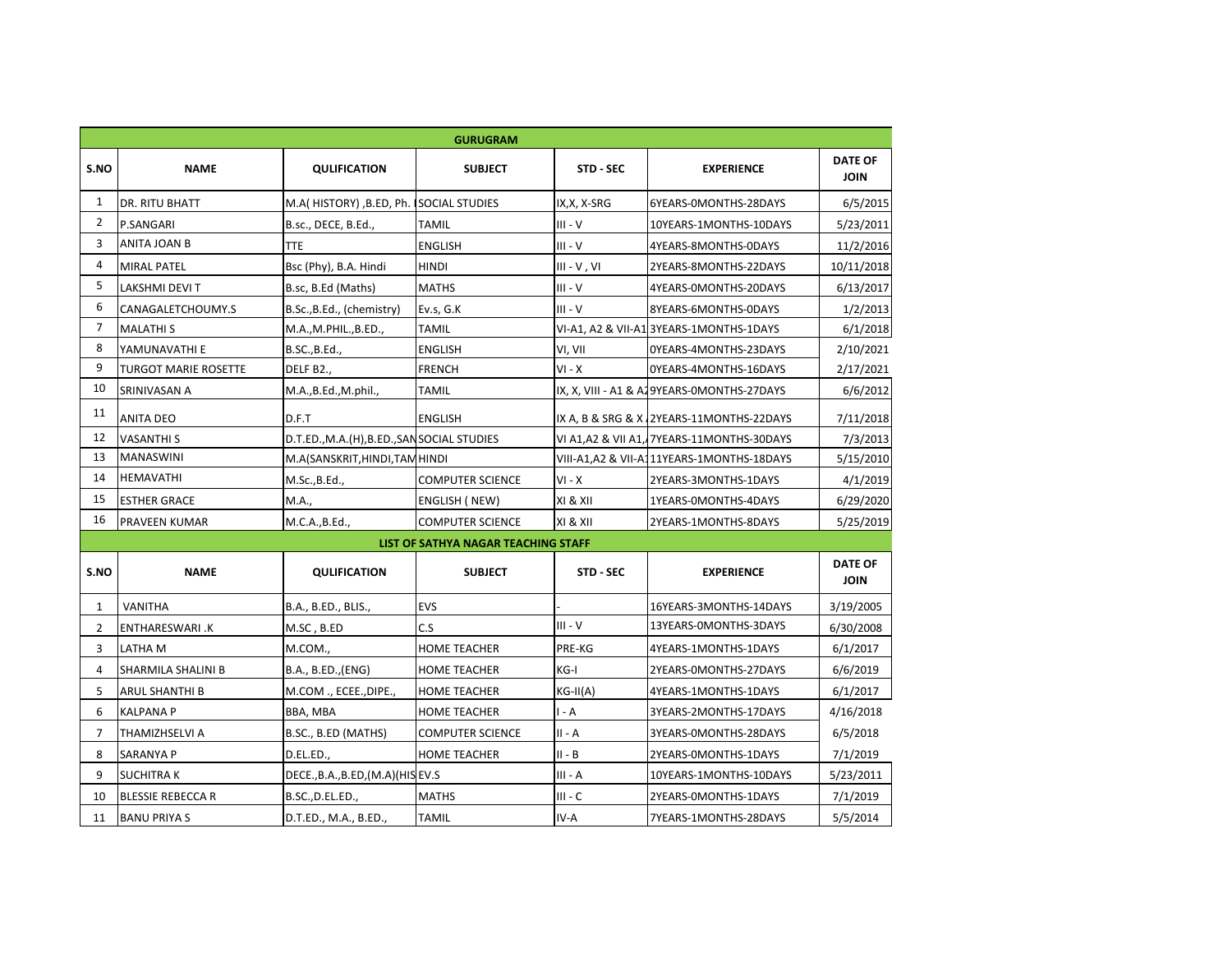| <b>GURUGRAM</b> |                             |                                            |                                     |               |                                            |                               |  |  |  |
|-----------------|-----------------------------|--------------------------------------------|-------------------------------------|---------------|--------------------------------------------|-------------------------------|--|--|--|
| S.NO            | <b>NAME</b>                 | <b>QULIFICATION</b>                        | <b>SUBJECT</b>                      | STD - SEC     | <b>EXPERIENCE</b>                          | <b>DATE OF</b><br><b>JOIN</b> |  |  |  |
| 1               | <b>DR. RITU BHATT</b>       | M.A( HISTORY), B.ED, Ph. SOCIAL STUDIES    |                                     | IX, X, X-SRG  | 6YEARS-0MONTHS-28DAYS                      | 6/5/2015                      |  |  |  |
| $\overline{2}$  | P.SANGARI                   | B.sc., DECE, B.Ed.,                        | <b>TAMIL</b>                        | $III - V$     | 10YEARS-1MONTHS-10DAYS                     | 5/23/2011                     |  |  |  |
| 3               | <b>ANITA JOAN B</b>         | <b>TTE</b>                                 | <b>ENGLISH</b>                      | $III - V$     | 4YEARS-8MONTHS-0DAYS                       | 11/2/2016                     |  |  |  |
| 4               | <b>MIRAL PATEL</b>          | Bsc (Phy), B.A. Hindi                      | <b>HINDI</b>                        | $III - V, VI$ | 2YEARS-8MONTHS-22DAYS                      | 10/11/2018                    |  |  |  |
| 5               | LAKSHMI DEVI T              | B.sc, B.Ed (Maths)                         | <b>MATHS</b>                        | $III - V$     | 4YEARS-OMONTHS-20DAYS                      | 6/13/2017                     |  |  |  |
| 6               | CANAGALETCHOUMY.S           | B.Sc., B.Ed., (chemistry)                  | Ev.s, G.K                           | $III - V$     | 8YEARS-6MONTHS-0DAYS                       | 1/2/2013                      |  |  |  |
| 7               | <b>MALATHIS</b>             | M.A., M.PHIL., B.ED.,                      | <b>TAMIL</b>                        |               | VI-A1, A2 & VII-A13YEARS-1MONTHS-1DAYS     | 6/1/2018                      |  |  |  |
| 8               | YAMUNAVATHI E               | B.SC., B.Ed.,                              | <b>ENGLISH</b>                      | VI, VII       | OYEARS-4MONTHS-23DAYS                      | 2/10/2021                     |  |  |  |
| 9               | <b>TURGOT MARIE ROSETTE</b> | DELF B2.,                                  | <b>FRENCH</b>                       | $VI - X$      | OYEARS-4MONTHS-16DAYS                      | 2/17/2021                     |  |  |  |
| 10              | SRINIVASAN A                | M.A., B.Ed., M.phil.,                      | <b>TAMIL</b>                        |               | IX, X, VIII - A1 & A19YEARS-0MONTHS-27DAYS | 6/6/2012                      |  |  |  |
| 11              | <b>ANITA DEO</b>            | D.F.T                                      | <b>ENGLISH</b>                      |               | IX A, B & SRG & X 2YEARS-11MONTHS-22DAYS   | 7/11/2018                     |  |  |  |
| 12              | <b>VASANTHI S</b>           | D.T.ED., M.A.(H), B.ED., SANSOCIAL STUDIES |                                     |               | VI A1, A2 & VII A1, 7YEARS-11MONTHS-30DAYS | 7/3/2013                      |  |  |  |
| 13              | <b>MANASWINI</b>            | M.A(SANSKRIT, HINDI, TAM HINDI             |                                     |               | VIII-A1, A2 & VII-A111YEARS-1MONTHS-18DAYS | 5/15/2010                     |  |  |  |
| 14              | <b>HEMAVATHI</b>            | M.Sc., B.Ed.,                              | <b>COMPUTER SCIENCE</b>             | $VI - X$      | 2YEARS-3MONTHS-1DAYS                       | 4/1/2019                      |  |  |  |
| 15              | <b>ESTHER GRACE</b>         | M.A.,                                      | <b>ENGLISH (NEW)</b>                | XI & XII      | 1YEARS-0MONTHS-4DAYS                       | 6/29/2020                     |  |  |  |
| 16              | <b>PRAVEEN KUMAR</b>        | M.C.A., B.Ed.,                             | <b>COMPUTER SCIENCE</b>             | XI & XII      | 2YEARS-1MONTHS-8DAYS                       | 5/25/2019                     |  |  |  |
|                 |                             |                                            | LIST OF SATHYA NAGAR TEACHING STAFF |               |                                            |                               |  |  |  |
| S.NO            | <b>NAME</b>                 | <b>QULIFICATION</b>                        | <b>SUBJECT</b>                      | STD - SEC     | <b>EXPERIENCE</b>                          | <b>DATE OF</b><br><b>JOIN</b> |  |  |  |
| $\mathbf{1}$    | <b>VANITHA</b>              | B.A., B.ED., BLIS.,                        | EVS                                 |               | 16YEARS-3MONTHS-14DAYS                     | 3/19/2005                     |  |  |  |
| $2^{\circ}$     | <b>ENTHARESWARI .K</b>      | M.SC, B.ED                                 | C.S                                 | $III - V$     | 13YEARS-0MONTHS-3DAYS                      | 6/30/2008                     |  |  |  |
| 3               | LATHA M                     | M.COM.,                                    | <b>HOME TEACHER</b>                 | PRE-KG        | 4YEARS-1MONTHS-1DAYS                       | 6/1/2017                      |  |  |  |
| 4               | <b>SHARMILA SHALINI B</b>   | B.A., B.ED., (ENG)                         | <b>HOME TEACHER</b>                 | KG-I          | 2YEARS-0MONTHS-27DAYS                      | 6/6/2019                      |  |  |  |
| 5               | <b>ARUL SHANTHI B</b>       | M.COM., ECEE., DIPE.,                      | <b>HOME TEACHER</b>                 | $KG-II(A)$    | 4YEARS-1MONTHS-1DAYS                       | 6/1/2017                      |  |  |  |
| 6               | <b>KALPANA P</b>            | BBA, MBA                                   | <b>HOME TEACHER</b>                 | I - A         | 3YEARS-2MONTHS-17DAYS                      | 4/16/2018                     |  |  |  |
| 7               | <b>THAMIZHSELVI A</b>       | B.SC., B.ED (MATHS)                        | <b>COMPUTER SCIENCE</b>             | II - A        | 3YEARS-0MONTHS-28DAYS                      | 6/5/2018                      |  |  |  |
| 8               | <b>SARANYA P</b>            | D.EL.ED.,                                  | <b>HOME TEACHER</b>                 | $II - B$      | 2YEARS-0MONTHS-1DAYS                       | 7/1/2019                      |  |  |  |
| 9               | <b>SUCHITRAK</b>            | DECE., B.A., B.ED, (M.A) (HIS EV.S         |                                     | $III - A$     | 10YEARS-1MONTHS-10DAYS                     | 5/23/2011                     |  |  |  |
| 10              | <b>BLESSIE REBECCA R</b>    | B.SC., D.EL.ED.,                           | <b>MATHS</b>                        | $III - C$     | 2YEARS-0MONTHS-1DAYS                       | 7/1/2019                      |  |  |  |
| 11              | <b>BANU PRIYA S</b>         | D.T.ED., M.A., B.ED.,                      | <b>TAMIL</b>                        | IV-A          | 7YEARS-1MONTHS-28DAYS                      | 5/5/2014                      |  |  |  |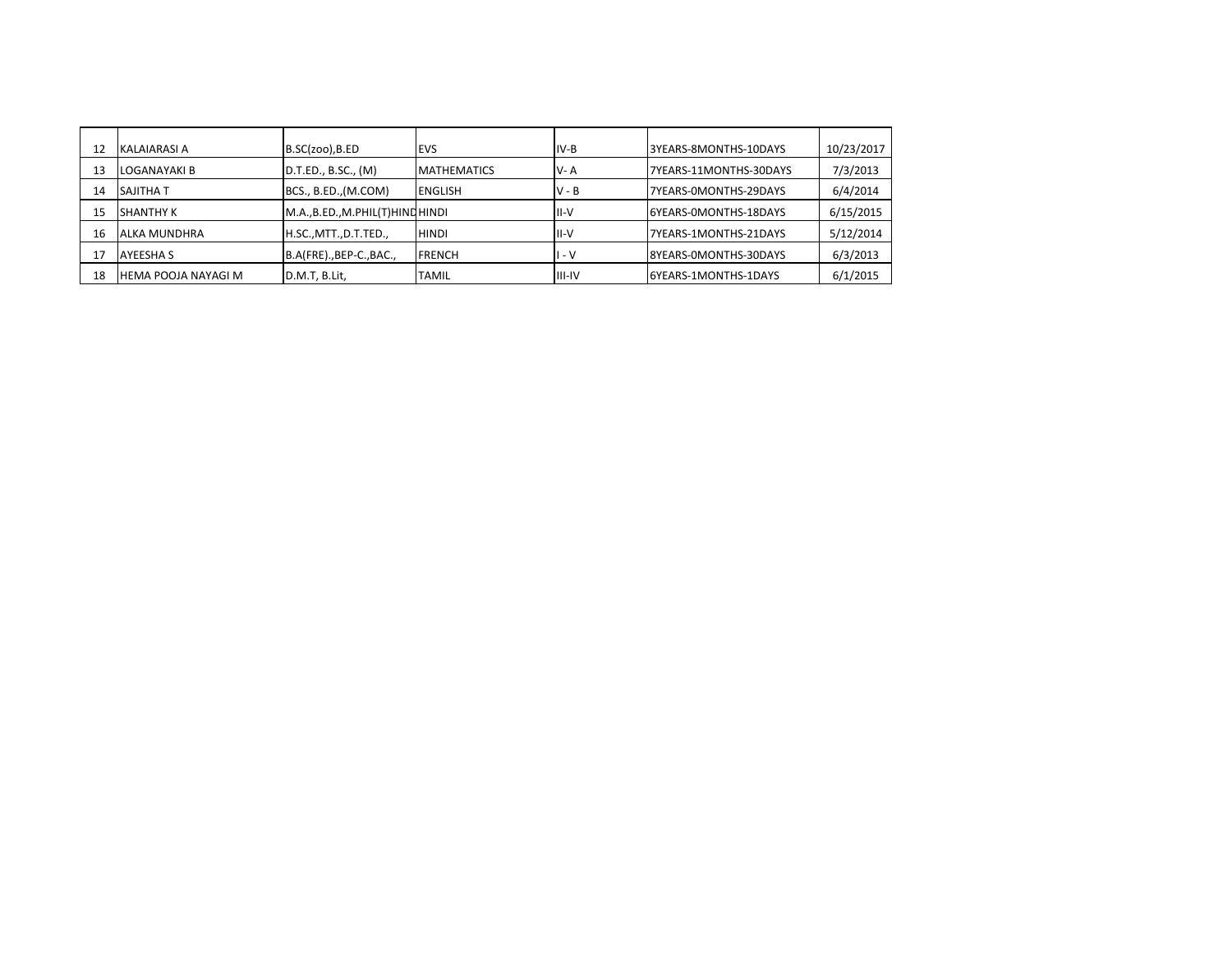| 12 | IKALAIARASI A       | $B.SC(zoo)$ , B.ED             | <b>IEVS</b>         | IIV-B          | 3YEARS-8MONTHS-10DAYS  | 10/23/2017 |
|----|---------------------|--------------------------------|---------------------|----------------|------------------------|------------|
| 13 | LOGANAYAKI B        | D.T.ED., B.SC., (M)            | <b>IMATHEMATICS</b> | IV- A          | 7YEARS-11MONTHS-30DAYS | 7/3/2013   |
| 14 | ISAJITHA T          | BCS., B.ED., (M.COM)           | <b>IENGLISH</b>     | IV - B         | 7YEARS-0MONTHS-29DAYS  | 6/4/2014   |
| 15 | <b>SHANTHY K</b>    | [M.A.,B.ED.,M.PHIL(T)HINQHINDI |                     | III-V          | I6YEARS-0MONTHS-18DAYS | 6/15/2015  |
| 16 | ALKA MUNDHRA        | H.SC., MTT., D.T. TED.,        | <b>HINDI</b>        | III-V          | 7YEARS-1MONTHS-21DAYS  | 5/12/2014  |
| 17 | IAYEESHA S          | B.A(FRE)., BEP-C., BAC.,       | <b>IFRENCH</b>      | - V            | 8YEARS-0MONTHS-30DAYS  | 6/3/2013   |
| 18 | HEMA POOJA NAYAGI M | D.M.T, B.Lit,                  | ITAMIL              | <b>IIII-IV</b> | 6YEARS-1MONTHS-1DAYS   | 6/1/2015   |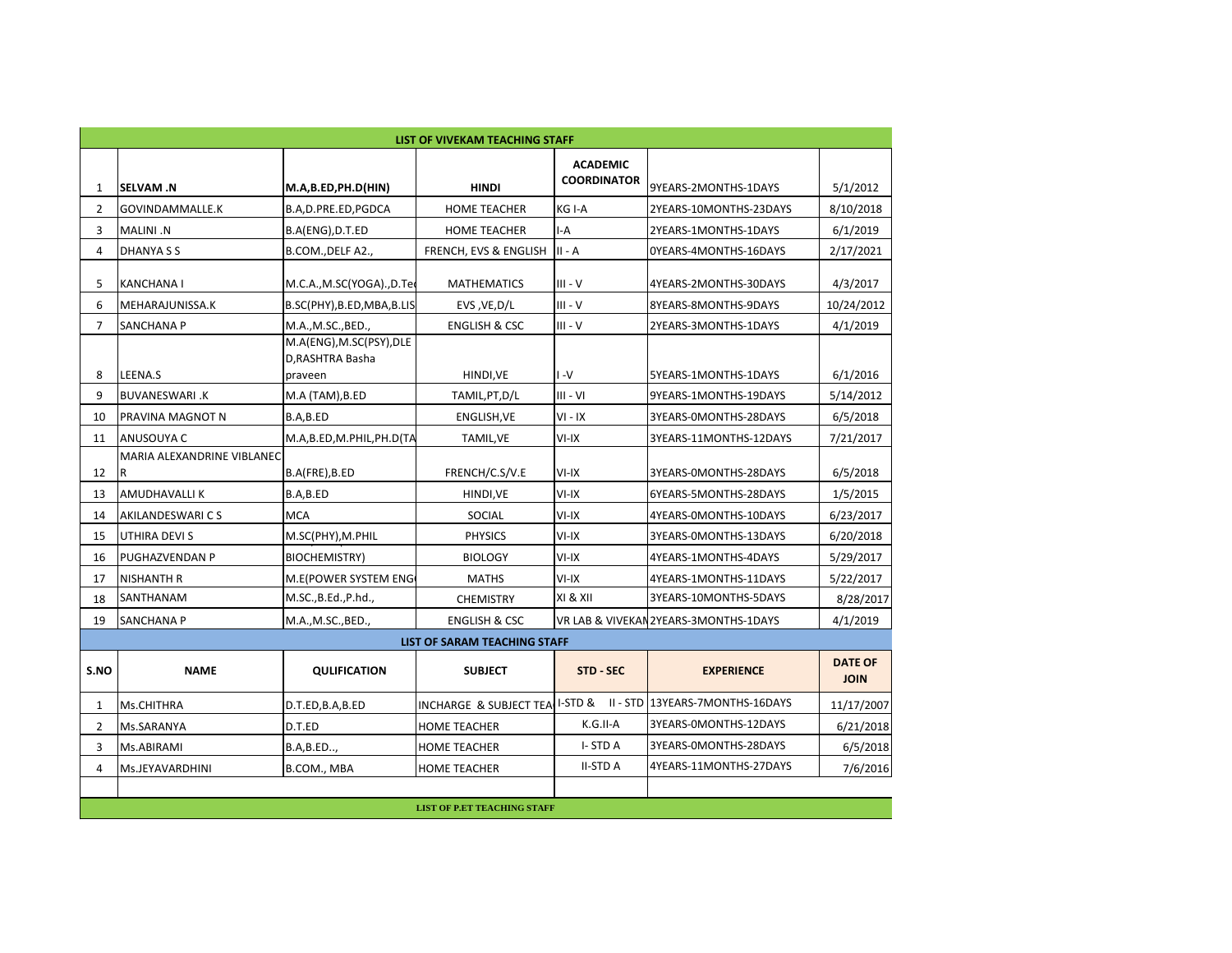|                |                                 |                                                         | LIST OF VIVEKAM TEACHING STAFF     |                                       |                                         |                               |
|----------------|---------------------------------|---------------------------------------------------------|------------------------------------|---------------------------------------|-----------------------------------------|-------------------------------|
| 1              | <b>SELVAM.N</b>                 | M.A,B.ED,PH.D(HIN)                                      | <b>HINDI</b>                       | <b>ACADEMIC</b><br><b>COORDINATOR</b> | 9YEARS-2MONTHS-1DAYS                    | 5/1/2012                      |
| $\mathbf{2}$   | GOVINDAMMALLE.K                 | B.A,D.PRE.ED,PGDCA                                      | <b>HOME TEACHER</b>                | KG I-A                                | 2YEARS-10MONTHS-23DAYS                  | 8/10/2018                     |
| 3              | MALINI .N                       | B.A(ENG), D.T.ED                                        | <b>HOME TEACHER</b>                | I-A                                   | 2YEARS-1MONTHS-1DAYS                    | 6/1/2019                      |
| 4              | DHANYA S S                      | B.COM., DELF A2.,                                       | FRENCH, EVS & ENGLISH              | $II - A$                              | OYEARS-4MONTHS-16DAYS                   | 2/17/2021                     |
| 5              | <b>KANCHANAI</b>                | M.C.A., M.SC(YOGA)., D.Teo                              | <b>MATHEMATICS</b>                 | $III - V$                             | 4YEARS-2MONTHS-30DAYS                   | 4/3/2017                      |
| 6              | MEHARAJUNISSA.K                 | B.SC(PHY), B.ED, MBA, B.LIS                             | EVS, VE, D/L                       | III - V                               | 8YEARS-8MONTHS-9DAYS                    | 10/24/2012                    |
| $\overline{7}$ | <b>SANCHANA P</b>               | M.A., M.SC., BED.,                                      | <b>ENGLISH &amp; CSC</b>           | $III - V$                             | 2YEARS-3MONTHS-1DAYS                    | 4/1/2019                      |
| 8              | LEENA.S                         | M.A(ENG), M.SC(PSY), DLE<br>D, RASHTRA Basha<br>praveen | HINDI, VE                          | $V-I$                                 | 5YEARS-1MONTHS-1DAYS                    | 6/1/2016                      |
| 9              | <b>BUVANESWARI .K</b>           | M.A (TAM), B.ED                                         | TAMIL, PT, D/L                     | $III - VI$                            | 9YEARS-1MONTHS-19DAYS                   | 5/14/2012                     |
| 10             | PRAVINA MAGNOT N                | B.A,B.ED                                                | ENGLISH, VE                        | $VI - IX$                             | 3YEARS-0MONTHS-28DAYS                   | 6/5/2018                      |
| 11             | ANUSOUYA C                      | M.A,B.ED,M.PHIL,PH.D(TA                                 | TAMIL, VE                          | $VI-IX$                               | 3YEARS-11MONTHS-12DAYS                  | 7/21/2017                     |
| 12             | MARIA ALEXANDRINE VIBLANEC<br>R | B.A(FRE), B.ED                                          | FRENCH/C.S/V.E                     | $VI-IX$                               | 3YEARS-0MONTHS-28DAYS                   | 6/5/2018                      |
| 13             | <b>AMUDHAVALLIK</b>             | B.A,B.ED                                                | HINDI, VE                          | $VI-IX$                               | 6YEARS-5MONTHS-28DAYS                   | 1/5/2015                      |
| 14             | <b>AKILANDESWARI CS</b>         | <b>MCA</b>                                              | SOCIAL                             | $VI-IX$                               | 4YEARS-0MONTHS-10DAYS                   | 6/23/2017                     |
| 15             | UTHIRA DEVI S                   | M.SC(PHY), M.PHIL                                       | <b>PHYSICS</b>                     | $VI-IX$                               | 3YEARS-0MONTHS-13DAYS                   | 6/20/2018                     |
| 16             | PUGHAZVENDAN P                  | <b>BIOCHEMISTRY)</b>                                    | <b>BIOLOGY</b>                     | $VI-IX$                               | 4YEARS-1MONTHS-4DAYS                    | 5/29/2017                     |
| 17             | <b>NISHANTH R</b>               | M.E(POWER SYSTEM ENG                                    | <b>MATHS</b>                       | VI-IX                                 | 4YEARS-1MONTHS-11DAYS                   | 5/22/2017                     |
| 18             | SANTHANAM                       | M.SC., B.Ed., P.hd.,                                    | <b>CHEMISTRY</b>                   | XI & XII                              | 3YEARS-10MONTHS-5DAYS                   | 8/28/2017                     |
| 19             | <b>SANCHANA P</b>               | M.A., M.SC., BED.,                                      | <b>ENGLISH &amp; CSC</b>           |                                       | VR LAB & VIVEKAN 2YEARS-3MONTHS-1DAYS   | 4/1/2019                      |
|                |                                 |                                                         | LIST OF SARAM TEACHING STAFF       |                                       |                                         |                               |
| S.NO           | <b>NAME</b>                     | <b>QULIFICATION</b>                                     | <b>SUBJECT</b>                     | <b>STD - SEC</b>                      | <b>EXPERIENCE</b>                       | <b>DATE OF</b><br><b>JOIN</b> |
| $\mathbf{1}$   | <b>Ms.CHITHRA</b>               | D.T.ED,B.A,B.ED                                         | INCHARGE & SUBJECT TEA             |                                       | I-STD & II - STD 13YEARS-7MONTHS-16DAYS | 11/17/2007                    |
| $\mathbf{2}$   | Ms.SARANYA                      | D.T.ED                                                  | <b>HOME TEACHER</b>                | K.G.II-A                              | 3YEARS-0MONTHS-12DAYS                   | 6/21/2018                     |
| 3              | Ms.ABIRAMI                      | B.A, B.ED,                                              | <b>HOME TEACHER</b>                | I-STDA                                | 3YEARS-0MONTHS-28DAYS                   | 6/5/2018                      |
| $\overline{4}$ | Ms.JEYAVARDHINI                 | B.COM., MBA                                             | <b>HOME TEACHER</b>                | <b>II-STD A</b>                       | 4YEARS-11MONTHS-27DAYS                  | 7/6/2016                      |
|                |                                 |                                                         | <b>LIST OF P.ET TEACHING STAFF</b> |                                       |                                         |                               |